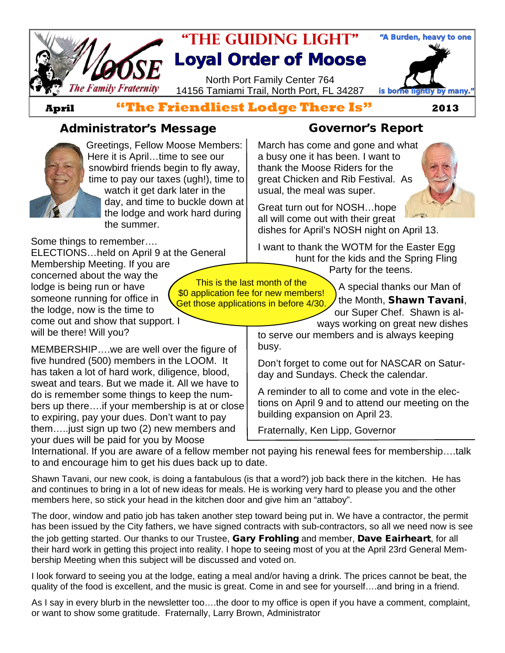

**April "The Friendliest Lodge There Is" 2013**

#### **Administrator's Message Governor's Report**



Greetings, Fellow Moose Members: Here it is April…time to see our snowbird friends begin to fly away, time to pay our taxes (ugh!), time to watch it get dark later in the day, and time to buckle down at the lodge and work hard during the summer.

Some things to remember….

ELECTIONS…held on April 9 at the General Membership Meeting. If you are concerned about the way the lodge is being run or have someone running for office in the lodge, now is the time to come out and show that support. I will be there! Will you?

MEMBERSHIP….we are well over the figure of five hundred (500) members in the LOOM. It has taken a lot of hard work, diligence, blood, sweat and tears. But we made it. All we have to do is remember some things to keep the numbers up there….if your membership is at or close to expiring, pay your dues. Don't want to pay them…..just sign up two (2) new members and your dues will be paid for you by Moose

March has come and gone and what a busy one it has been. I want to thank the Moose Riders for the great Chicken and Rib Festival. As usual, the meal was super.



Great turn out for NOSH…hope all will come out with their great dishes for April's NOSH night on April 13.

I want to thank the WOTM for the Easter Egg hunt for the kids and the Spring Fling

Party for the teens.

This is the last month of the \$0 application fee for new members! Get those applications in before 4/30.

A special thanks our Man of the Month, **Shawn Tavani**, our Super Chef. Shawn is al-

ways working on great new dishes to serve our members and is always keeping busy.

Don't forget to come out for NASCAR on Saturday and Sundays. Check the calendar.

A reminder to all to come and vote in the elections on April 9 and to attend our meeting on the building expansion on April 23.

Fraternally, Ken Lipp, Governor

International. If you are aware of a fellow member not paying his renewal fees for membership….talk to and encourage him to get his dues back up to date.

Shawn Tavani, our new cook, is doing a fantabulous (is that a word?) job back there in the kitchen. He has and continues to bring in a lot of new ideas for meals. He is working very hard to please you and the other members here, so stick your head in the kitchen door and give him an "attaboy".

The door, window and patio job has taken another step toward being put in. We have a contractor, the permit has been issued by the City fathers, we have signed contracts with sub-contractors, so all we need now is see the job getting started. Our thanks to our Trustee, **Gary Frohling** and member, **Dave Eairheart**, for all their hard work in getting this project into reality. I hope to seeing most of you at the April 23rd General Membership Meeting when this subject will be discussed and voted on.

I look forward to seeing you at the lodge, eating a meal and/or having a drink. The prices cannot be beat, the quality of the food is excellent, and the music is great. Come in and see for yourself….and bring in a friend.

As I say in every blurb in the newsletter too….the door to my office is open if you have a comment, complaint, or want to show some gratitude. Fraternally, Larry Brown, Administrator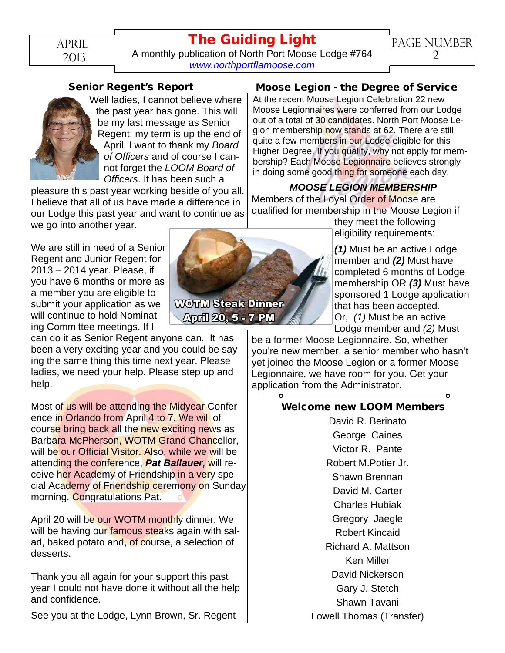## **The Guiding Light**

April 2013

A monthly publication of North Port Moose Lodge #764 *[www.northportflamoose.com](http://www.northportflamoose.com)*



Well ladies, I cannot believe where the past year has gone. This will be my last message as Senior Regent; my term is up the end of April. I want to thank my *Board of Officers* and of course I cannot forget the *LOOM Board of Officers*. It has been such a

pleasure this past year working beside of you all. I believe that all of us have made a difference in our Lodge this past year and want to continue as we go into another year.

We are still in need of a Senior Regent and Junior Regent for 2013 – 2014 year. Please, if you have 6 months or more as a member you are eligible to submit your application as we will continue to hold Nominating Committee meetings. If I

can do it as Senior Regent anyone can. It has been a very exciting year and you could be saying the same thing this time next year. Please ladies, we need your help. Please step up and help.

Most of us will be attending the Midyear Conference in Orlando from April 4 to 7. We will of course bring back all the new exciting news as Barbara McPherson, WOTM Grand Chancellor, will be our Official Visitor. Also, while we will be attending the conference, *Pat Ballauer,* will receive her Academy of Friendship in a very special Academy of Friendship ceremony on Sunday morning. Congratulations Pat.

April 20 will be our WOTM monthly dinner. We will be having our famous steaks again with salad, baked potato and, of course, a selection of desserts.

Thank you all again for your support this past year I could not have done it without all the help and confidence.

See you at the Lodge, Lynn Brown, Sr. Regent

#### **Moose Legion - the Degree of Service**

At the recent Moose Legion Celebration 22 new Moose Legionnaires were conferred from our Lodge out of a total of 30 candidates. North Port Moose Legion membership now stands at 62. There are still quite a few members in our Lodge eligible for this Higher Degree. If you qualify, why not apply for membership? Each Moose Legionnaire believes strongly in doing some good thing for someone each day.

#### *MOOSE LEGION MEMBERSHIP*

Members of the Loyal Order of Moose are qualified for membership in the Moose Legion if

they meet the following eligibility requirements:

*(1)* Must be an active Lodge member and *(2)* Must have completed 6 months of Lodge membership OR *(3)* Must have sponsored 1 Lodge application that has been accepted. Or, *(1)* Must be an active Lodge member and *(2)* Must

be a former Moose Legionnaire. So, whether you're new member, a senior member who hasn't yet joined the Moose Legion or a former Moose Legionnaire, we have room for you. Get your application from the Administrator.

#### **Welcome new LOOM Members**

David R. Berinato George Caines Victor R. Pante Robert M.Potier Jr. Shawn Brennan David M. Carter Charles Hubiak Gregory Jaegle Robert Kincaid Richard A. Mattson Ken Miller David Nickerson Gary J. Stetch Shawn Tavani Lowell Thomas (Transfer)



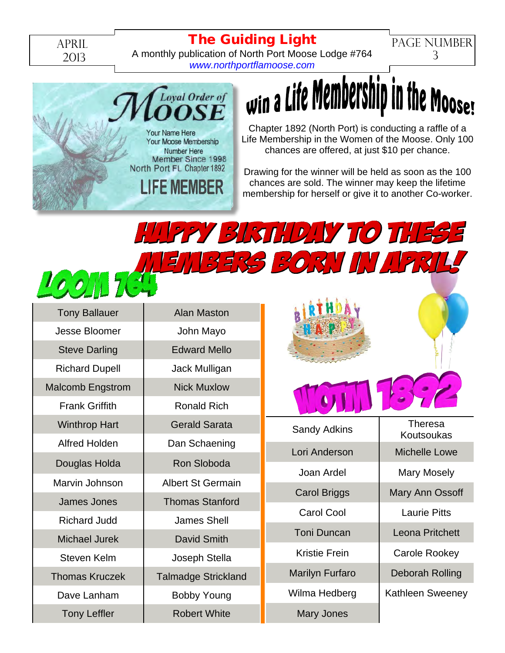April 2013

#### **The Guiding Light**

A monthly publication of North Port Moose Lodge #764 *[www.northportflamoose.com](http://www.northportflamoose.com)*



## $w$  a Life Membership in the Moose!

PAGE NUMBER 3

Chapter 1892 (North Port) is conducting a raffle of a Life Membership in the Women of the Moose. Only 100 chances are offered, at just \$10 per chance.

Drawing for the winner will be held as soon as the 100 chances are sold. The winner may keep the lifetime membership for herself or give it to another Co-worker.

Happy Birthday to these

# members born in April!

| <b>Tony Ballauer</b>    | Alan Maston                |  |  |  |  |
|-------------------------|----------------------------|--|--|--|--|
| Jesse Bloomer           | John Mayo                  |  |  |  |  |
| <b>Steve Darling</b>    | <b>Edward Mello</b>        |  |  |  |  |
| <b>Richard Dupell</b>   | Jack Mulligan              |  |  |  |  |
| <b>Malcomb Engstrom</b> | <b>Nick Muxlow</b>         |  |  |  |  |
| <b>Frank Griffith</b>   | <b>Ronald Rich</b>         |  |  |  |  |
| <b>Winthrop Hart</b>    | <b>Gerald Sarata</b>       |  |  |  |  |
| <b>Alfred Holden</b>    | Dan Schaening              |  |  |  |  |
| Douglas Holda           | Ron Sloboda                |  |  |  |  |
| Marvin Johnson          | <b>Albert St Germain</b>   |  |  |  |  |
| <b>James Jones</b>      | <b>Thomas Stanford</b>     |  |  |  |  |
| <b>Richard Judd</b>     | <b>James Shell</b>         |  |  |  |  |
| <b>Michael Jurek</b>    | David Smith                |  |  |  |  |
| Steven Kelm             | Joseph Stella              |  |  |  |  |
| <b>Thomas Kruczek</b>   | <b>Talmadge Strickland</b> |  |  |  |  |
| Dave Lanham             | <b>Bobby Young</b>         |  |  |  |  |
| <b>Tony Leffler</b>     | <b>Robert White</b>        |  |  |  |  |
|                         |                            |  |  |  |  |



Sandy Adkins Theresa Lori Anderson | Michelle Lowe Joan Ardel | Mary Mosely Carol Cool | Laurie Pitts Toni Duncan Leona Pritchett Kristie Frein | Carole Rookey Marilyn Furfaro | Deborah Rolling

Mary Jones

Koutsoukas Carol Briggs | Mary Ann Ossoff

Wilma Hedberg | Kathleen Sweeney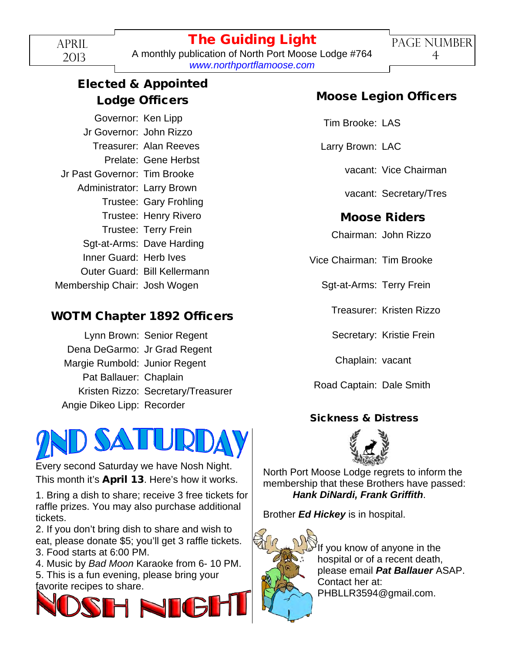A monthly publication of North Port Moose Lodge #764 *[www.northportflamoose.com](http://www.northportflamoose.com)*

### **Elected & Appointed Lodge Officers**

Governor: Ken Lipp Jr Governor: John Rizzo Treasurer: Alan Reeves Prelate: Gene Herbst Jr Past Governor: Tim Brooke Administrator: Larry Brown Trustee: Gary Frohling Trustee: Henry Rivero Trustee: Terry Frein Sgt-at-Arms: Dave Harding Inner Guard: Herb Ives Outer Guard: Bill Kellermann Membership Chair: Josh Wogen

#### **WOTM Chapter 1892 Officers**

|                               | Lynn Brown: Senior Regent          |
|-------------------------------|------------------------------------|
| Dena DeGarmo: Jr Grad Regent  |                                    |
| Margie Rumbold: Junior Regent |                                    |
| Pat Ballauer: Chaplain        |                                    |
|                               | Kristen Rizzo: Secretary/Treasurer |
| Angie Dikeo Lipp: Recorder    |                                    |



Every second Saturday we have Nosh Night. This month it's **April 13**. Here's how it works.

1. Bring a dish to share; receive 3 free tickets for raffle prizes. You may also purchase additional tickets.

2. If you don't bring dish to share and wish to eat, please donate \$5; you'll get 3 raffle tickets. 3. Food starts at 6:00 PM.

4. Music by *Bad Moon* Karaoke from 6- 10 PM.

5. This is a fun evening, please bring your favorite recipes to share.



#### **Moose Legion Officers**

Tim Brooke: LAS

Larry Brown: LAC

vacant: Vice Chairman

vacant: Secretary/Tres

#### **Moose Riders**

Chairman: John Rizzo

Vice Chairman: Tim Brooke

Sgt-at-Arms: Terry Frein

Treasurer: Kristen Rizzo

Secretary: Kristie Frein

Chaplain: vacant

Road Captain: Dale Smith

#### **Sickness & Distress**



North Port Moose Lodge regrets to inform the membership that these Brothers have passed: *Hank DiNardi, Frank Griffith*.

Brother *Ed Hickey* is in hospital.



If you know of anyone in the hospital or of a recent death, please email *Pat Ballauer* ASAP. Contact her at: PHBLLR3594@gmail.com.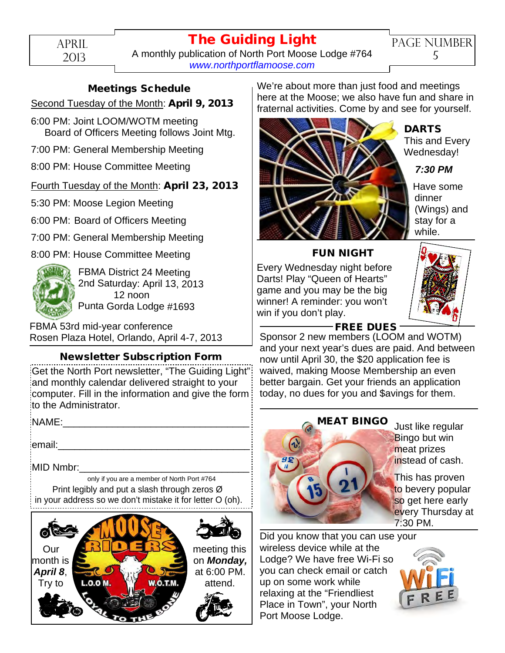April 2013

## **The Guiding Light**

A monthly publication of North Port Moose Lodge #764 *[www.northportflamoose.com](http://www.northportflamoose.com)*

#### **Meetings Schedule**

#### Second Tuesday of the Month: **April 9, 2013**

- 6:00 PM: Joint LOOM/WOTM meeting Board of Officers Meeting follows Joint Mtg.
- 7:00 PM: General Membership Meeting
- 8:00 PM: House Committee Meeting

#### Fourth Tuesday of the Month: **April 23, 2013**

5:30 PM: Moose Legion Meeting

6:00 PM: Board of Officers Meeting

7:00 PM: General Membership Meeting

8:00 PM: House Committee Meeting



FBMA District 24 Meeting 2nd Saturday: April 13, 2013 12 noon Punta Gorda Lodge #1693

FBMA 53rd mid-year conference Rosen Plaza Hotel, Orlando, April 4-7, 2013

#### **Newsletter Subscription Form**

Get the North Port newsletter, "The Guiding Light" and monthly calendar delivered straight to your computer. Fill in the information and give the form to the Administrator.

NAME:

email:

MID Nmbr:

only if you are a member of North Port #764 Print legibly and put a slash through zeros Ø in your address so we don't mistake it for letter O (oh).



We're about more than just food and meetings here at the Moose; we also have fun and share in fraternal activities. Come by and see for yourself.



#### **DARTS**

This and Every Wednesday!

*7:30 PM*

Have some dinner (Wings) and stay for a while.

#### **FUN NIGHT**

Every Wednesday night before Darts! Play "Queen of Hearts" game and you may be the big winner! A reminder: you won't win if you don't play.



#### **FREE DUES**

Sponsor 2 new members (LOOM and WOTM) and your next year's dues are paid. And between now until April 30, the \$20 application fee is waived, making Moose Membership an even better bargain. Get your friends an application today, no dues for you and \$avings for them.



Just like regular **Bingo but win** meat prizes instead of cash.

This has proven to bevery popular so get here early every Thursday at 7:30 PM.

Did you know that you can use your wireless device while at the Lodge? We have free Wi-Fi so you can check email or catch up on some work while relaxing at the "Friendliest Place in Town", your North Port Moose Lodge.

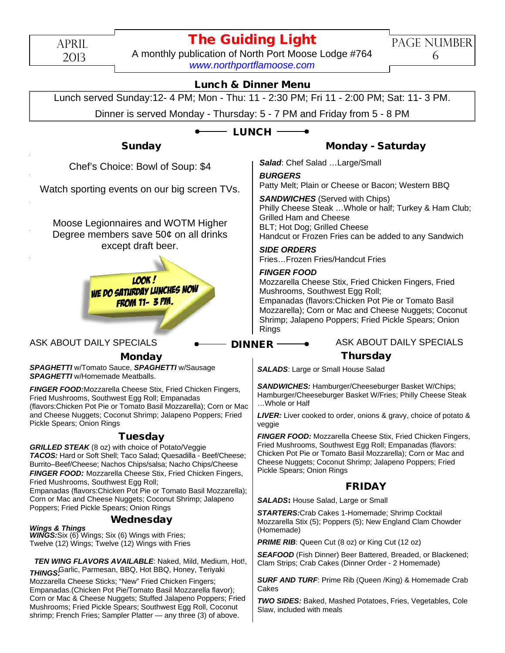APRIL

#### 2013

#### **The Guiding Light**

A monthly publication of North Port Moose Lodge #764 *[www.northportflamoose.com](http://www.northportflamoose.com)*

PAGE NUMBER 6

#### **Lunch & Dinner Menu**

Lunch served Sunday:12- 4 PM; Mon - Thu: 11 - 2:30 PM; Fri 11 - 2:00 PM; Sat: 11- 3 PM.

Dinner is served Monday - Thursday: 5 - 7 PM and Friday from 5 - 8 PM

#### **LUNCH**

**DINNER**

Chef's Choice: Rowl of Sour  $\blacksquare$  Chef's Choice: Bowl of Soup:  $$4$ 

(Lettuce, Tomato, Onion On Request) Watch sporting events on our big screen TVs.

Moose Legionnaires and WOTM Higher Degree members save 50 $¢$  on all drinks except draft beer.

Mozzarella Cheese Stix, Fried Chicken Fingers, Fried

Mushrooms, Southwest Egg Roll; Empanadas (flavors: Chicken Pot Pie or Tomato Basil Pot Pie or Tomato Basil Pot Pie or Tomato Basil Pot Pie or  $M$ E DO SATURDAY LUNCHED NUT FROM 11- 3 PM. Chips w/Salsa & Cheese; Nachos Grande Walsa & Cheese; Nachos Grande Walsa Look ! We do Saturday Lunches now from 11- 3 PM.

#### **Monday**

*SPAGHETTI* w/Tomato Sauce, *SPAGHETTI* w/Sausage *SPAGHETTI* w/Homemade Meatballs.

*FINGER FOOD:*Mozzarella Cheese Stix, Fried Chicken Fingers, Fried Mushrooms, Southwest Egg Roll; Empanadas (flavors:Chicken Pot Pie or Tomato Basil Mozzarella); Corn or Mac and Cheese Nuggets; Coconut Shrimp; Jalapeno Poppers; Fried Pickle Spears; Onion Rings

#### **Tuesday**

*GRILLED STEAK* (8 oz) with choice of Potato/Veggie *TACOS:* Hard or Soft Shell; Taco Salad; Quesadilla - Beef/Cheese; Burrito–Beef/Cheese; Nachos Chips/salsa; Nacho Chips/Cheese *FINGER FOOD:* Mozzarella Cheese Stix, Fried Chicken Fingers, Fried Mushrooms, Southwest Egg Roll; Empanadas (flavors:Chicken Pot Pie or Tomato Basil Mozzarella); Corn or Mac and Cheese Nuggets; Coconut Shrimp; Jalapeno Poppers; Fried Pickle Spears; Onion Rings

#### **Wednesday**

*WINGS:*Six (6) Wings; Six (6) Wings with Fries; Twelve (12) Wings; Twelve (12) Wings with Fries *Wings & Things*

*THINGS*: Garlic, Parmesan, BBQ, Hot BBQ, Honey, Teriyaki *TEN WING FLAVORS AVAILABLE*: Naked, Mild, Medium, Hot!,

Mozzarella Cheese Sticks; "New" Fried Chicken Fingers; Empanadas.(Chicken Pot Pie/Tomato Basil Mozzarella flavor); Corn or Mac & Cheese Nuggets; Stuffed Jalapeno Poppers; Fried Mushrooms; Fried Pickle Spears; Southwest Egg Roll, Coconut shrimp; French Fries; Sampler Platter — any three (3) of above.

#### **Sunday Monday - Saturday**

*Salad*: Chef Salad …Large/Small

#### *BURGERS*

Patty Melt; Plain or Cheese or Bacon; Western BBQ

*SANDWICHES* (Served with Chips) Philly Cheese Steak …Whole or half; Turkey & Ham Club; Grilled Ham and Cheese BLT; Hot Dog; Grilled Cheese Handcut or Frozen Fries can be added to any Sandwich

#### *SIDE ORDERS*

Fries…Frozen Fries/Handcut Fries

#### *FINGER FOOD*

Mozzarella Cheese Stix, Fried Chicken Fingers, Fried Mushrooms, Southwest Egg Roll; Empanadas (flavors:Chicken Pot Pie or Tomato Basil Mozzarella); Corn or Mac and Cheese Nuggets; Coconut Shrimp; Jalapeno Poppers; Fried Pickle Spears; Onion Rings

#### ASK ABOUT DAILY SPECIALS **ACCULUMBER ASK ABOUT DAILY SPECIALS**

#### **Thursday**

**SALADS:** Large or Small House Salad

*SANDWICHES:* Hamburger/Cheeseburger Basket W/Chips; Hamburger/Cheeseburger Basket W/Fries; Philly Cheese Steak …Whole or Half

*LIVER:* Liver cooked to order, onions & gravy, choice of potato & veggie

*FINGER FOOD:* Mozzarella Cheese Stix, Fried Chicken Fingers, Fried Mushrooms, Southwest Egg Roll; Empanadas (flavors: Chicken Pot Pie or Tomato Basil Mozzarella); Corn or Mac and Cheese Nuggets; Coconut Shrimp; Jalapeno Poppers; Fried Pickle Spears; Onion Rings

#### **FRIDAY**

*SALADS***:** House Salad, Large or Small

*STARTERS:*Crab Cakes 1-Homemade; Shrimp Cocktail Mozzarella Stix (5); Poppers (5); New England Clam Chowder (Homemade)

**PRIME RIB:** Queen Cut (8 oz) or King Cut (12 oz)

**SEAFOOD** (Fish Dinner) Beer Battered, Breaded, or Blackened; Clam Strips; Crab Cakes (Dinner Order - 2 Homemade)

*SURF AND TURF*: Prime Rib (Queen /King) & Homemade Crab Cakes

*TWO SIDES:* Baked, Mashed Potatoes, Fries, Vegetables, Cole Slaw, included with meals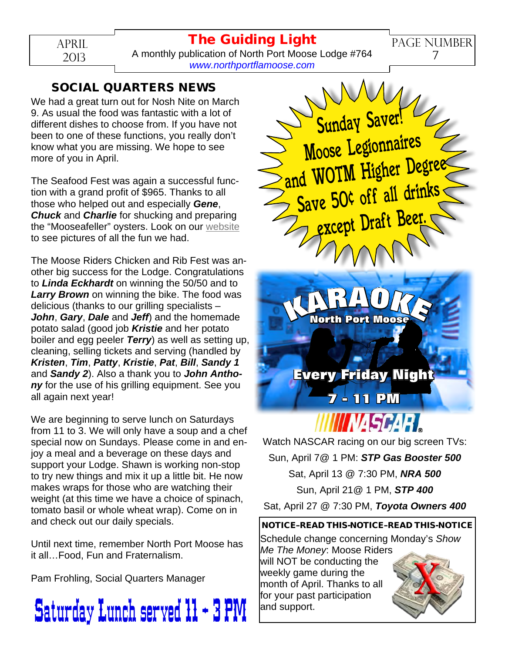#### **The Guiding Light**

PAGE NUMBER 7

APRIL 2013

A monthly publication of North Port Moose Lodge #764 *[www.northportflamoose.com](http://www.northportflamoose.com)*

#### **SOCIAL QUARTERS NEWS**

We had a great turn out for Nosh Nite on March 9. As usual the food was fantastic with a lot of different dishes to choose from. If you have not been to one of these functions, you really don't know what you are missing. We hope to see more of you in April.

The Seafood Fest was again a successful function with a grand profit of \$965. Thanks to all those who helped out and especially *Gene*, *Chuck* and *Charlie* for shucking and preparing the "Mooseafeller" oysters. Look on our [website](http://www.northportflamoose.com) to see pictures of all the fun we had.

The Moose Riders Chicken and Rib Fest was another big success for the Lodge. Congratulations to *Linda Eckhardt* on winning the 50/50 and to *Larry Brown* on winning the bike. The food was delicious (thanks to our grilling specialists – *John*, *Gary*, *Dale* and *Jeff*) and the homemade potato salad (good job *Kristie* and her potato boiler and egg peeler *Terry*) as well as setting up, cleaning, selling tickets and serving (handled by *Kristen*, *Tim*, *Patty*, *Kristie*, *Pat*, *Bill*, *Sandy 1* and *Sandy 2*). Also a thank you to *John Antho***ny** for the use of his grilling equipment. See you all again next year!

We are beginning to serve lunch on Saturdays from 11 to 3. We will only have a soup and a chef special now on Sundays. Please come in and enjoy a meal and a beverage on these days and support your Lodge. Shawn is working non-stop to try new things and mix it up a little bit. He now makes wraps for those who are watching their weight (at this time we have a choice of spinach, tomato basil or whole wheat wrap). Come on in and check out our daily specials.

Until next time, remember North Port Moose has it all…Food, Fun and Fraternalism.

Pam Frohling, Social Quarters Manager





*NASCARI* Watch NASCAR racing on our big screen TVs: Sun, April 7@ 1 PM: *STP Gas Booster 500* Sat, April 13 @ 7:30 PM, *NRA 500* Sun, April 21@ 1 PM, *STP 400* Sat, April 27 @ 7:30 PM, *Toyota Owners 400*

**Every Friday Night**

**7 - 11 PM**

#### **NOTICE–READ THIS-NOTICE–READ THIS-NOTICE**

Schedule change concerning Monday's *Show Me The Money*: Moose Riders will NOT be conducting the weekly game during the month of April. Thanks to all for your past participation and support.